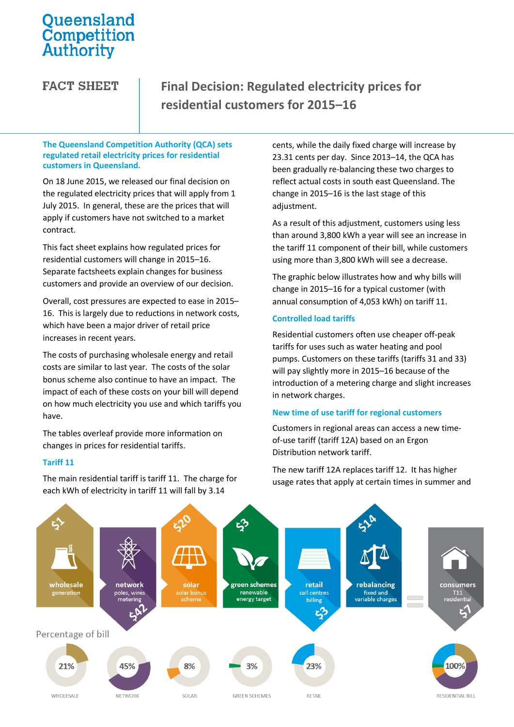# Queensland<br>Competition Authority

**FACT SHEET** 

# **Final Decision: Regulated electricity prices for residential customers for 2015–16**

### **The Queensland Competition Authority (QCA) sets regulated retail electricity prices for residential customers in Queensland.**

On 18 June 2015, we released our final decision on the regulated electricity prices that will apply from 1 July 2015. In general, these are the prices that will apply if customers have not switched to a market contract.

This fact sheet explains how regulated prices for residential customers will change in 2015–16. Separate factsheets explain changes for business customers and provide an overview of our decision.

Overall, cost pressures are expected to ease in 2015– 16. This is largely due to reductions in network costs, which have been a major driver of retail price increases in recent years.

The costs of purchasing wholesale energy and retail costs are similar to last year. The costs of the solar bonus scheme also continue to have an impact. The impact of each of these costs on your bill will depend on how much electricity you use and which tariffs you have.

The tables overleaf provide more information on changes in prices for residential tariffs.

# **Tariff 11**

The main residential tariff is tariff 11. The charge for each kWh of electricity in tariff 11 will fall by 3.14

cents, while the daily fixed charge will increase by 23.31 cents per day. Since 2013–14, the QCA has been gradually re-balancing these two charges to reflect actual costs in south east Queensland. The change in 2015–16 is the last stage of this adjustment.

As a result of this adjustment, customers using less than around 3,800 kWh a year will see an increase in the tariff 11 component of their bill, while customers using more than 3,800 kWh will see a decrease.

The graphic below illustrates how and why bills will change in 2015–16 for a typical customer (with annual consumption of 4,053 kWh) on tariff 11.

# **Controlled load tariffs**

Residential customers often use cheaper off-peak tariffs for uses such as water heating and pool pumps. Customers on these tariffs (tariffs 31 and 33) will pay slightly more in 2015–16 because of the introduction of a metering charge and slight increases in network charges.

# **New time of use tariff for regional customers**

Customers in regional areas can access a new timeof-use tariff (tariff 12A) based on an Ergon Distribution network tariff.

The new tariff 12A replaces tariff 12. It has higher usage rates that apply at certain times in summer and